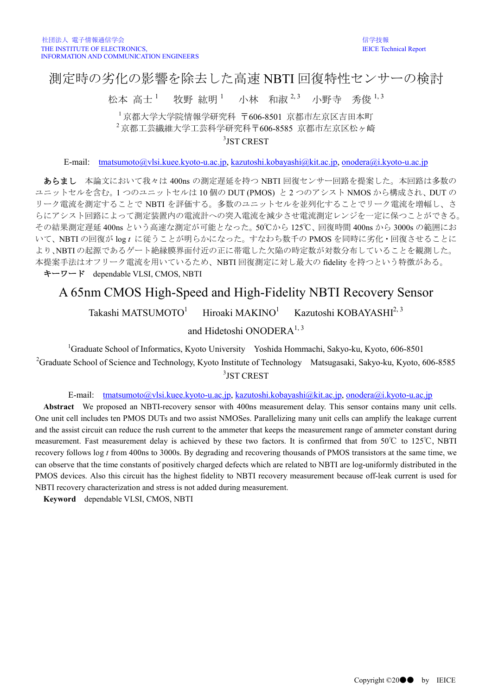## 測定時の劣化の影響を除去した高速 NBTI 回復特性センサーの検討

松本 高十 $^1$ 牧野 紘明 1 小林 和淑 $^{2,3}$  小野寺 秀俊  $^{1,3}$ 

<sup>1</sup> 京都大学大学院情報学研究科 〒606-8501 京都市左京区吉田本町 <sup>2</sup> 京都工芸繊維大学工芸科学研究科〒606-8585 京都市左京区松ヶ崎

3 JST CREST

E-mail: [tmatsumoto@vlsi.kuee.kyoto-u.ac.jp,](mailto:tmatsumoto@vlsi.kuee.kyoto-u.ac.jp) [kazutoshi.kobayashi@kit.ac.jp,](mailto:kazutoshi.kobayashi@kit.ac.jp) [onodera@i.kyoto-u.ac.jp](mailto:onodera@i.kyoto-u.ac.jp)

あらまし 本論文において我々は 400ns の測定遅延を持つ NBTI 回復センサー回路を提案した。本回路は多数の ユニットセルを含む。1 つのユニットセルは 10 個の DUT (PMOS) と 2 つのアシスト NMOS から構成され、DUT の リーク電流を測定することで NBTI を評価する。多数のユニットセルを並列化することでリーク電流を増幅し、さ らにアシスト回路によって測定装置内の電流計への突入電流を減少させ電流測定レンジを一定に保つことができる。 その結果測定遅延 400ns という高速な測定が可能となった。50℃から 125℃、回復時間 400ns から 3000s の範囲にお いて、NBTI の回復が log *t* に従うことが明らかになった。すなわち数千の PMOS を同時に劣化・回復させることに より、NBTI の起源であるゲート絶縁膜界面付近の正に帯電した欠陥の時定数が対数分布していることを観測した。 本提案手法はオフリーク電流を用いているため、NBTI 回復測定に対し最大の fidelity を持つという特徴がある。 キーワード dependable VLSI, CMOS, NBTI

## A 65nm CMOS High-Speed and High-Fidelity NBTI Recovery Sensor

Takashi MATSUMOTO<sup>1</sup> Hiroaki MAKINO $1$ Kazutoshi KOBAYASHI<sup>2, 3</sup>

and Hidetoshi ONODERA<sup>1, 3</sup>

<sup>1</sup>Graduate School of Informatics, Kyoto University Yoshida Hommachi, Sakyo-ku, Kyoto, 606-8501 <sup>2</sup>Graduate School of Science and Technology, Kyoto Institute of Technology Matsugasaki, Sakyo-ku, Kyoto, 606-8585 3 JST CREST

E-mail: [tmatsumoto@vlsi.kuee.kyoto-u.ac.jp,](mailto:tmatsumoto@vlsi.kuee.kyoto-u.ac.jp) [kazutoshi.kobayashi@kit.ac.jp,](mailto:kazutoshi.kobayashi@kit.ac.jp) [onodera@i.kyoto-u.ac.jp](mailto:onodera@i.kyoto-u.ac.jp)

**Abstract** We proposed an NBTI-recovery sensor with 400ns measurement delay. This sensor contains many unit cells. One unit cell includes ten PMOS DUTs and two assist NMOSes. Parallelizing many unit cells can amplify the leakage current and the assist circuit can reduce the rush current to the ammeter that keeps the measurement range of ammeter constant during measurement. Fast measurement delay is achieved by these two factors. It is confirmed that from 50℃ to 125℃, NBTI recovery follows log *t* from 400ns to 3000s. By degrading and recovering thousands of PMOS transistors at the same time, we can observe that the time constants of positively charged defects which are related to NBTI are log-uniformly distributed in the PMOS devices. Also this circuit has the highest fidelity to NBTI recovery measurement because off-leak current is used for NBTI recovery characterization and stress is not added during measurement.

**Keyword** dependable VLSI, CMOS, NBTI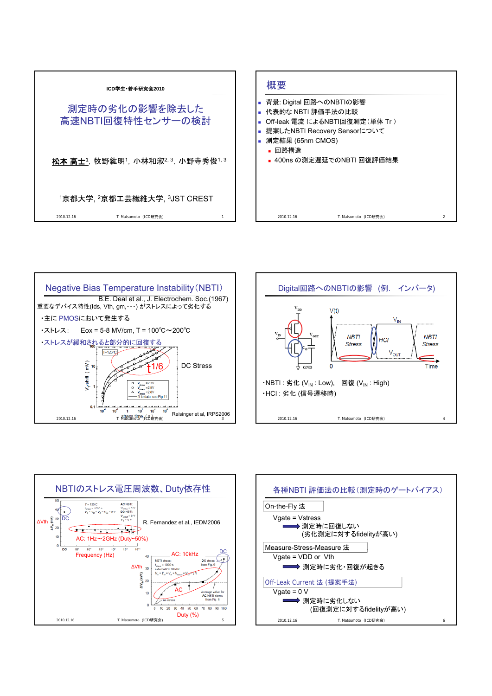







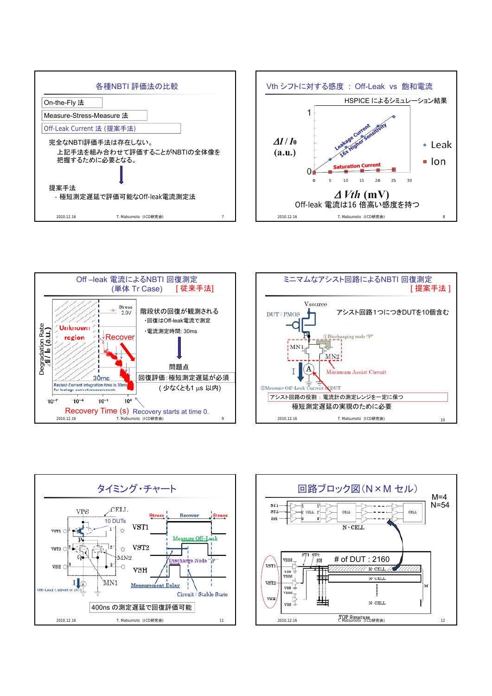